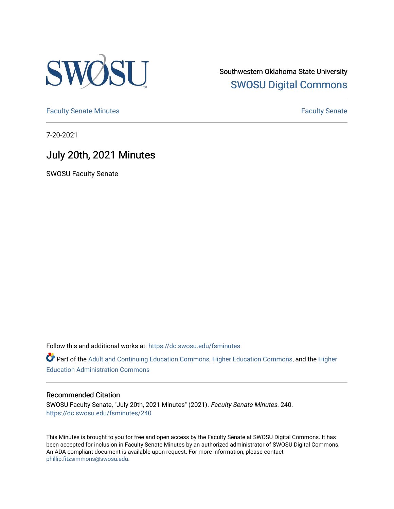

Southwestern Oklahoma State University [SWOSU Digital Commons](https://dc.swosu.edu/) 

[Faculty Senate Minutes](https://dc.swosu.edu/fsminutes) **Faculty** Senate Minutes

7-20-2021

## July 20th, 2021 Minutes

SWOSU Faculty Senate

Follow this and additional works at: [https://dc.swosu.edu/fsminutes](https://dc.swosu.edu/fsminutes?utm_source=dc.swosu.edu%2Ffsminutes%2F240&utm_medium=PDF&utm_campaign=PDFCoverPages) 

Part of the [Adult and Continuing Education Commons,](http://network.bepress.com/hgg/discipline/1375?utm_source=dc.swosu.edu%2Ffsminutes%2F240&utm_medium=PDF&utm_campaign=PDFCoverPages) [Higher Education Commons,](http://network.bepress.com/hgg/discipline/1245?utm_source=dc.swosu.edu%2Ffsminutes%2F240&utm_medium=PDF&utm_campaign=PDFCoverPages) and the [Higher](http://network.bepress.com/hgg/discipline/791?utm_source=dc.swosu.edu%2Ffsminutes%2F240&utm_medium=PDF&utm_campaign=PDFCoverPages) [Education Administration Commons](http://network.bepress.com/hgg/discipline/791?utm_source=dc.swosu.edu%2Ffsminutes%2F240&utm_medium=PDF&utm_campaign=PDFCoverPages) 

#### Recommended Citation

SWOSU Faculty Senate, "July 20th, 2021 Minutes" (2021). Faculty Senate Minutes. 240. [https://dc.swosu.edu/fsminutes/240](https://dc.swosu.edu/fsminutes/240?utm_source=dc.swosu.edu%2Ffsminutes%2F240&utm_medium=PDF&utm_campaign=PDFCoverPages) 

This Minutes is brought to you for free and open access by the Faculty Senate at SWOSU Digital Commons. It has been accepted for inclusion in Faculty Senate Minutes by an authorized administrator of SWOSU Digital Commons. An ADA compliant document is available upon request. For more information, please contact [phillip.fitzsimmons@swosu.edu](mailto:phillip.fitzsimmons@swosu.edu).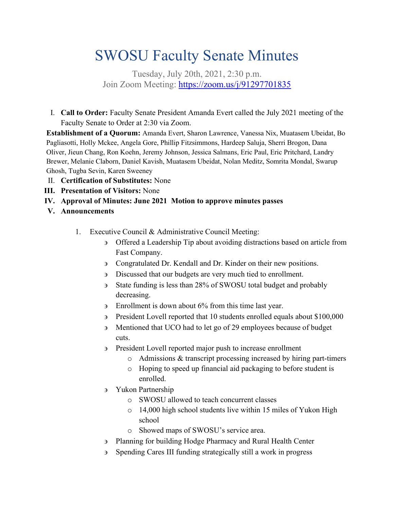# SWOSU Faculty Senate Minutes

Tuesday, July 20th, 2021, 2:30 p.m. Join Zoom Meeting:<https://zoom.us/j/91297701835>

I. **Call to Order:** Faculty Senate President Amanda Evert called the July 2021 meeting of the Faculty Senate to Order at 2:30 via Zoom.

**Establishment of a Quorum:** Amanda Evert, Sharon Lawrence, Vanessa Nix, Muatasem Ubeidat, Bo Pagliasotti, Holly Mckee, Angela Gore, Phillip Fitzsimmons, Hardeep Saluja, Sherri Brogon, Dana Oliver, Jieun Chang, Ron Koehn, Jeremy Johnson, Jessica Salmans, Eric Paul, Eric Pritchard, Landry Brewer, Melanie Claborn, Daniel Kavish, Muatasem Ubeidat, Nolan Meditz, Somrita Mondal, Swarup Ghosh, Tugba Sevin, Karen Sweeney

- II. **Certification of Substitutes:** None
- **III. Presentation of Visitors:** None
- **IV. Approval of Minutes: June 2021 Motion to approve minutes passes**
- **V. Announcements**
	- 1. Executive Council & Administrative Council Meeting:
		- ∋ Offered a Leadership Tip about avoiding distractions based on article from Fast Company.
		- ∋ Congratulated Dr. Kendall and Dr. Kinder on their new positions.
		- ∋ Discussed that our budgets are very much tied to enrollment.
		- ∋ State funding is less than 28% of SWOSU total budget and probably decreasing.
		- ∋ Enrollment is down about 6% from this time last year.
		- ∋ President Lovell reported that 10 students enrolled equals about \$100,000
		- ∋ Mentioned that UCO had to let go of 29 employees because of budget cuts.
		- ∋ President Lovell reported major push to increase enrollment
			- o Admissions & transcript processing increased by hiring part-timers
			- o Hoping to speed up financial aid packaging to before student is enrolled.
		- ∋ Yukon Partnership
			- o SWOSU allowed to teach concurrent classes
			- o 14,000 high school students live within 15 miles of Yukon High school
			- o Showed maps of SWOSU's service area.
		- ∋ Planning for building Hodge Pharmacy and Rural Health Center
		- ∋ Spending Cares III funding strategically still a work in progress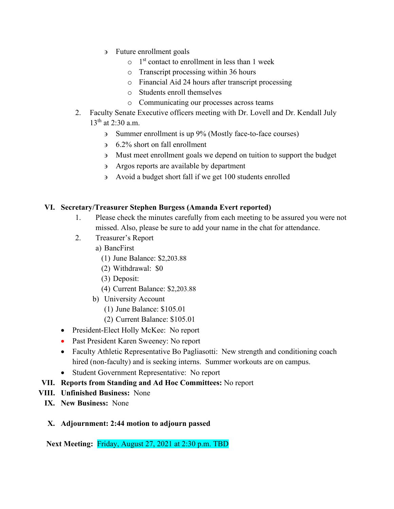- ∋ Future enrollment goals
	- $\circ$  1<sup>st</sup> contact to enrollment in less than 1 week
	- o Transcript processing within 36 hours
	- o Financial Aid 24 hours after transcript processing
	- o Students enroll themselves
	- o Communicating our processes across teams
- 2. Faculty Senate Executive officers meeting with Dr. Lovell and Dr. Kendall July  $13^{th}$  at 2:30 a.m.
	- ∋ Summer enrollment is up 9% (Mostly face-to-face courses)
	- ∋ 6.2% short on fall enrollment
	- ∋ Must meet enrollment goals we depend on tuition to support the budget
	- ∋ Argos reports are available by department
	- ∋ Avoid a budget short fall if we get 100 students enrolled

### **VI. Secretary/Treasurer Stephen Burgess (Amanda Evert reported)**

- 1. Please check the minutes carefully from each meeting to be assured you were not missed. Also, please be sure to add your name in the chat for attendance.
- 2. Treasurer's Report
	- a) BancFirst
		- (1) June Balance: \$2,203.88
		- (2) Withdrawal: \$0
		- (3) Deposit:
		- (4) Current Balance: \$2,203.88
	- b) University Account
		- (1) June Balance: \$105.01
		- (2) Current Balance: \$105.01
- President-Elect Holly McKee: No report
- Past President Karen Sweeney: No report
- Faculty Athletic Representative Bo Pagliasotti: New strength and conditioning coach hired (non-faculty) and is seeking interns. Summer workouts are on campus.
- Student Government Representative: No report
- **VII. Reports from Standing and Ad Hoc Committees:** No report
- **VIII. Unfinished Business:** None
	- **IX. New Business:** None
	- **X. Adjournment: 2:44 motion to adjourn passed**

**Next Meeting:** Friday, August 27, 2021 at 2:30 p.m. TBD